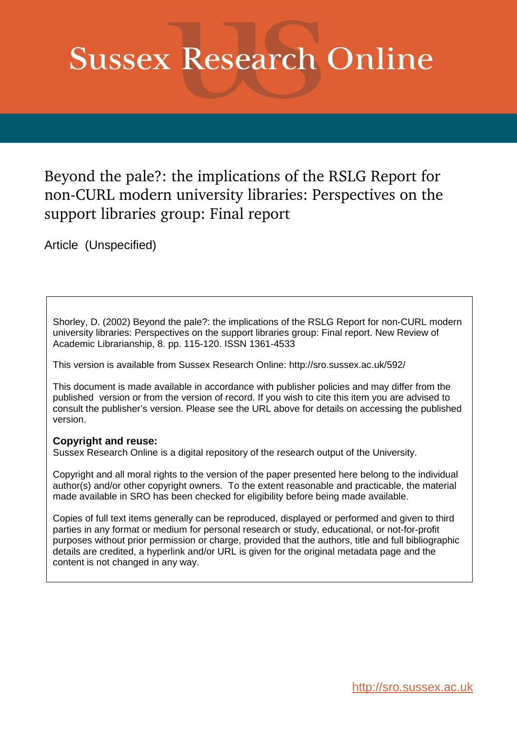# **Sussex Research Online**

Beyond the pale?: the implications of the RSLG Report for non-CURL modern university libraries: Perspectives on the support libraries group: Final report

Article (Unspecified)

Shorley, D. (2002) Beyond the pale?: the implications of the RSLG Report for non-CURL modern university libraries: Perspectives on the support libraries group: Final report. New Review of Academic Librarianship, 8. pp. 115-120. ISSN 1361-4533

This version is available from Sussex Research Online: http://sro.sussex.ac.uk/592/

This document is made available in accordance with publisher policies and may differ from the published version or from the version of record. If you wish to cite this item you are advised to consult the publisher's version. Please see the URL above for details on accessing the published version.

# **Copyright and reuse:**

Sussex Research Online is a digital repository of the research output of the University.

Copyright and all moral rights to the version of the paper presented here belong to the individual author(s) and/or other copyright owners. To the extent reasonable and practicable, the material made available in SRO has been checked for eligibility before being made available.

Copies of full text items generally can be reproduced, displayed or performed and given to third parties in any format or medium for personal research or study, educational, or not-for-profit purposes without prior permission or charge, provided that the authors, title and full bibliographic details are credited, a hyperlink and/or URL is given for the original metadata page and the content is not changed in any way.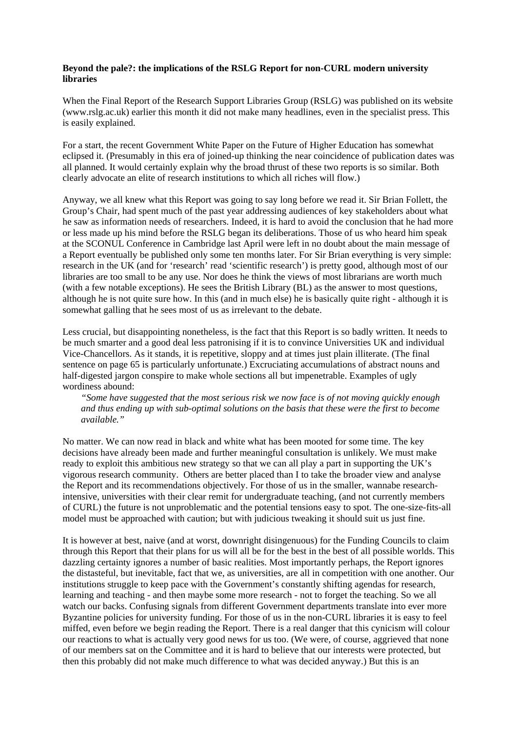## **Beyond the pale?: the implications of the RSLG Report for non-CURL modern university libraries**

When the Final Report of the Research Support Libraries Group (RSLG) was published on its website (www.rslg.ac.uk) earlier this month it did not make many headlines, even in the specialist press. This is easily explained.

For a start, the recent Government White Paper on the Future of Higher Education has somewhat eclipsed it. (Presumably in this era of joined-up thinking the near coincidence of publication dates was all planned. It would certainly explain why the broad thrust of these two reports is so similar. Both clearly advocate an elite of research institutions to which all riches will flow.)

Anyway, we all knew what this Report was going to say long before we read it. Sir Brian Follett, the Group's Chair, had spent much of the past year addressing audiences of key stakeholders about what he saw as information needs of researchers. Indeed, it is hard to avoid the conclusion that he had more or less made up his mind before the RSLG began its deliberations. Those of us who heard him speak at the SCONUL Conference in Cambridge last April were left in no doubt about the main message of a Report eventually be published only some ten months later. For Sir Brian everything is very simple: research in the UK (and for 'research' read 'scientific research') is pretty good, although most of our libraries are too small to be any use. Nor does he think the views of most librarians are worth much (with a few notable exceptions). He sees the British Library (BL) as the answer to most questions, although he is not quite sure how. In this (and in much else) he is basically quite right - although it is somewhat galling that he sees most of us as irrelevant to the debate.

Less crucial, but disappointing nonetheless, is the fact that this Report is so badly written. It needs to be much smarter and a good deal less patronising if it is to convince Universities UK and individual Vice-Chancellors. As it stands, it is repetitive, sloppy and at times just plain illiterate. (The final sentence on page 65 is particularly unfortunate.) Excruciating accumulations of abstract nouns and half-digested jargon conspire to make whole sections all but impenetrable. Examples of ugly wordiness abound:

*"Some have suggested that the most serious risk we now face is of not moving quickly enough and thus ending up with sub-optimal solutions on the basis that these were the first to become available."*

No matter. We can now read in black and white what has been mooted for some time. The key decisions have already been made and further meaningful consultation is unlikely. We must make ready to exploit this ambitious new strategy so that we can all play a part in supporting the UK's vigorous research community. Others are better placed than I to take the broader view and analyse the Report and its recommendations objectively. For those of us in the smaller, wannabe researchintensive, universities with their clear remit for undergraduate teaching, (and not currently members of CURL) the future is not unproblematic and the potential tensions easy to spot. The one-size-fits-all model must be approached with caution; but with judicious tweaking it should suit us just fine.

It is however at best, naive (and at worst, downright disingenuous) for the Funding Councils to claim through this Report that their plans for us will all be for the best in the best of all possible worlds. This dazzling certainty ignores a number of basic realities. Most importantly perhaps, the Report ignores the distasteful, but inevitable, fact that we, as universities, are all in competition with one another. Our institutions struggle to keep pace with the Government's constantly shifting agendas for research, learning and teaching - and then maybe some more research - not to forget the teaching. So we all watch our backs. Confusing signals from different Government departments translate into ever more Byzantine policies for university funding. For those of us in the non-CURL libraries it is easy to feel miffed, even before we begin reading the Report. There is a real danger that this cynicism will colour our reactions to what is actually very good news for us too. (We were, of course, aggrieved that none of our members sat on the Committee and it is hard to believe that our interests were protected, but then this probably did not make much difference to what was decided anyway.) But this is an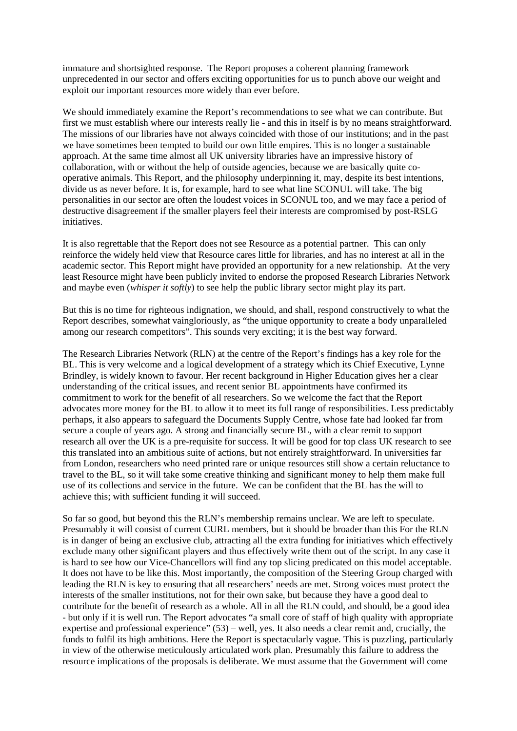immature and shortsighted response. The Report proposes a coherent planning framework unprecedented in our sector and offers exciting opportunities for us to punch above our weight and exploit our important resources more widely than ever before.

We should immediately examine the Report's recommendations to see what we can contribute. But first we must establish where our interests really lie - and this in itself is by no means straightforward. The missions of our libraries have not always coincided with those of our institutions; and in the past we have sometimes been tempted to build our own little empires. This is no longer a sustainable approach. At the same time almost all UK university libraries have an impressive history of collaboration, with or without the help of outside agencies, because we are basically quite cooperative animals. This Report, and the philosophy underpinning it, may, despite its best intentions, divide us as never before. It is, for example, hard to see what line SCONUL will take. The big personalities in our sector are often the loudest voices in SCONUL too, and we may face a period of destructive disagreement if the smaller players feel their interests are compromised by post-RSLG initiatives.

It is also regrettable that the Report does not see Resource as a potential partner. This can only reinforce the widely held view that Resource cares little for libraries, and has no interest at all in the academic sector. This Report might have provided an opportunity for a new relationship. At the very least Resource might have been publicly invited to endorse the proposed Research Libraries Network and maybe even (*whisper it softly*) to see help the public library sector might play its part.

But this is no time for righteous indignation, we should, and shall, respond constructively to what the Report describes, somewhat vaingloriously, as "the unique opportunity to create a body unparalleled among our research competitors". This sounds very exciting; it is the best way forward.

The Research Libraries Network (RLN) at the centre of the Report's findings has a key role for the BL. This is very welcome and a logical development of a strategy which its Chief Executive, Lynne Brindley, is widely known to favour. Her recent background in Higher Education gives her a clear understanding of the critical issues, and recent senior BL appointments have confirmed its commitment to work for the benefit of all researchers. So we welcome the fact that the Report advocates more money for the BL to allow it to meet its full range of responsibilities. Less predictably perhaps, it also appears to safeguard the Documents Supply Centre, whose fate had looked far from secure a couple of years ago. A strong and financially secure BL, with a clear remit to support research all over the UK is a pre-requisite for success. It will be good for top class UK research to see this translated into an ambitious suite of actions, but not entirely straightforward. In universities far from London, researchers who need printed rare or unique resources still show a certain reluctance to travel to the BL, so it will take some creative thinking and significant money to help them make full use of its collections and service in the future. We can be confident that the BL has the will to achieve this; with sufficient funding it will succeed.

So far so good, but beyond this the RLN's membership remains unclear. We are left to speculate. Presumably it will consist of current CURL members, but it should be broader than this For the RLN is in danger of being an exclusive club, attracting all the extra funding for initiatives which effectively exclude many other significant players and thus effectively write them out of the script. In any case it is hard to see how our Vice-Chancellors will find any top slicing predicated on this model acceptable. It does not have to be like this. Most importantly, the composition of the Steering Group charged with leading the RLN is key to ensuring that all researchers' needs are met. Strong voices must protect the interests of the smaller institutions, not for their own sake, but because they have a good deal to contribute for the benefit of research as a whole. All in all the RLN could, and should, be a good idea - but only if it is well run. The Report advocates "a small core of staff of high quality with appropriate expertise and professional experience" (53) – well, yes. It also needs a clear remit and, crucially, the funds to fulfil its high ambitions. Here the Report is spectacularly vague. This is puzzling, particularly in view of the otherwise meticulously articulated work plan. Presumably this failure to address the resource implications of the proposals is deliberate. We must assume that the Government will come